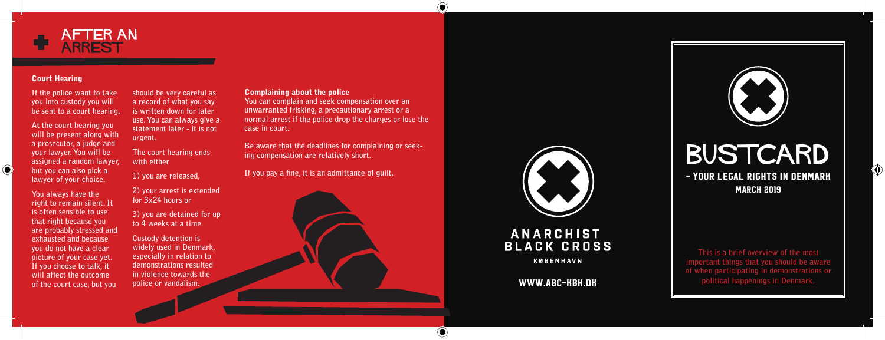

### Court Hearing

 $\bigoplus$ 

**If the police want to take you into custody you will be sent to a court hearing.**

**At the court hearing you will be present along with a prosecutor, a judge and your lawyer. You will be assigned a random lawyer, but you can also pick a lawyer of your choice.**

**You always have the right to remain silent. It is often sensible to use that right because you are probably stressed and exhausted and because you do not have a clear picture of your case yet. If you choose to talk, it will affect the outcome of the court case, but you** 

**should be very careful as a record of what you say is written down for later use. You can always give a statement later - it is not urgent.**

**The court hearing ends with either** 

**1) you are released,** 

**2) your arrest is extended for 3x24 hours or** 

**3) you are detained for up to 4 weeks at a time.**

**Custody detention is widely used in Denmark, especially in relation to demonstrations resulted in violence towards the police or vandalism.**

Complaining about the police

**You can complain and seek compensation over an unwarranted frisking, a precautionary arrest or a normal arrest if the police drop the charges or lose the case in court.**

⊕

◈

**Be aware that the deadlines for complaining or seek ing compensation are relatively short.**

**If you pay a fine, it is an admittance of guilt.**





## **ANARCHIST BLACK CROSS**

**KØBENHAVN** 

WWW.ABC-KBH.DK



⊕

**This is a brief overview of the most important things that you should be aware of when participating in demonstrations or political happenings in Denmark.**